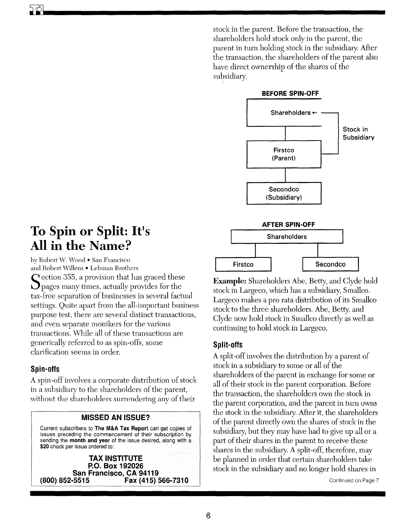stock in the parent. Before the transaction, the shareholders hold stock only in the parent, the parent in turn holding stock in the subsidiary. After the transaction, the shareholders of the parent also have direct ownership of the shares of the subsidiary.



# **To Spin or Split: It's All in the Name?**

by Robert W. Wood • San Francisco and Robert Willens • Lehman Brothers  $\Gamma$  ection 355, a provision that has graced these  $\mathbf{\mathcal{Q}}$  pages many times, actually provides for the tax -free separation of businesses in several factual settings. Quite apart from the all-important business purpose test, there are several distinct transactions, and even separate monikers for the various transactions. While all of these transactions are generically referred to as spin-offs, some clarification seems in order.

# **Spin-offs**

**ill** 

A spin-off involves a corporate distribution of stock in a subsidiary to the shareholders of the parent, without the shareholders surrendering any of their

# **MISSED AN ISSUE?**

Current subscribers to **The M&A Tax Report** can get copies of issues preceding the commencement of their subscription by sending the **month and year** of the issue desired, along with a **\$20** check per issue ordered to:

**TAX INSTITUTE P.O. Box 192026 San Francisco, CA 94119**<br>؛ (800) *B*52-5515 **Fax** (415) **(800) 852-5515 Fax (415) 566-7310**  **Example:** Shareholders Abe, Betty, and Clyde hold stock in Largeco, which has a subsidiary, Smallco. Largeco makes a pro rata distribution of its Smallco stock to the three shareholders. Abe, Betty, and Clyde now hold stock in Smallco directly as well as continuing to hold stock in Largeco.

# **Split-offs**

A split-off involves the distribution by a parent of stock in a subsidiary to some or all of the shareholders of the parent in exchange for some or all of their stock in the parent corporation. Before the transaction, the shareholders own the stock in the parent corporation, and the parent in tum owns the stock in the subsidiary. After it, the shareholders of the parent directly own the shares of stock in the subsidiary, but they may have had to give up all or a part of their shares in the parent to receive these shares in the subsidiary. A split-off, therefore, may be planned in order that certain shareholders take stock in the subsidiary and no longer hold shares in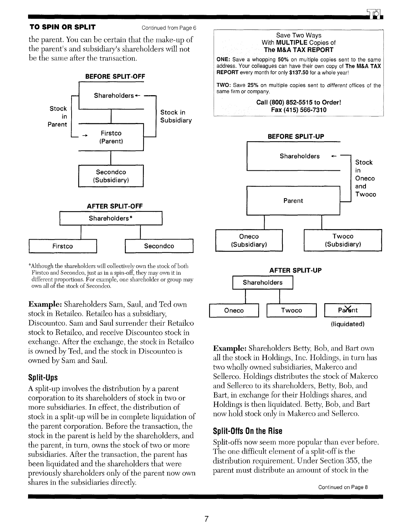#### **TO SPIN OR SPLIT** Continued from Page 6

the parent. You can be certain that the make-up of the parent's and subsidiary's shareholders will not be the same after the transaction.



<sup>o</sup> Although the shareholders will collectively own the stock of both Firstco and Secondco, just as in a spin-off, they may own it in different proportions. For example, one shareholder or group may own all of the stock of Secondco.

Example: Shareholders Sam, Saul, and Ted own stock in Retailco. Retailco has a subsidiary, Discountco. Sam and Saul surrender their Retaileo stock to Retailco, and receive Discountco stock in exchange. After the exchange, the stock in Retailco is owned by Ted, and the stock in Discountco is owned by Sam and Saul.

## Split-Ups

A split-up involves the distribution by a parent corporation to its shareholders of stock in two or more subsidiaries. In effect, the distribution of stock in a split-up will be in complete liquidation of the parent corporation. Before the transaction, the stock in the parent is held by the shareholders, and the parent, in turn, owns the stock of two or more subsidiaries. After the transaction, the parent has been liquidated and the shareholders that were previously shareholders only of the parent now own shares in the subsidiaries directly.



Parent Oneco Twoco (liquidated)

Example: Shareholders Betty, Bob, and Bart own all the stock in Holdings, Inc. Holdings, in turn has two wholly owned subsidiaries, Makerco and Sellerco. Holdings distributes the stock of Makerco and Sellerco to its shareholders, Betty, Bob, and Bart, in exchange for their Holdings shares, and Holdings is then liquidated. Betty, Bob, and Bart now hold stock only in Makerco and Sellerco.

## Split-Offs On the Rise

Split-offs now seem more popular than ever before. The one difficult element of a split-off is the distribution requirement. Under Section 355, the parent must distribute an amount of stock in the